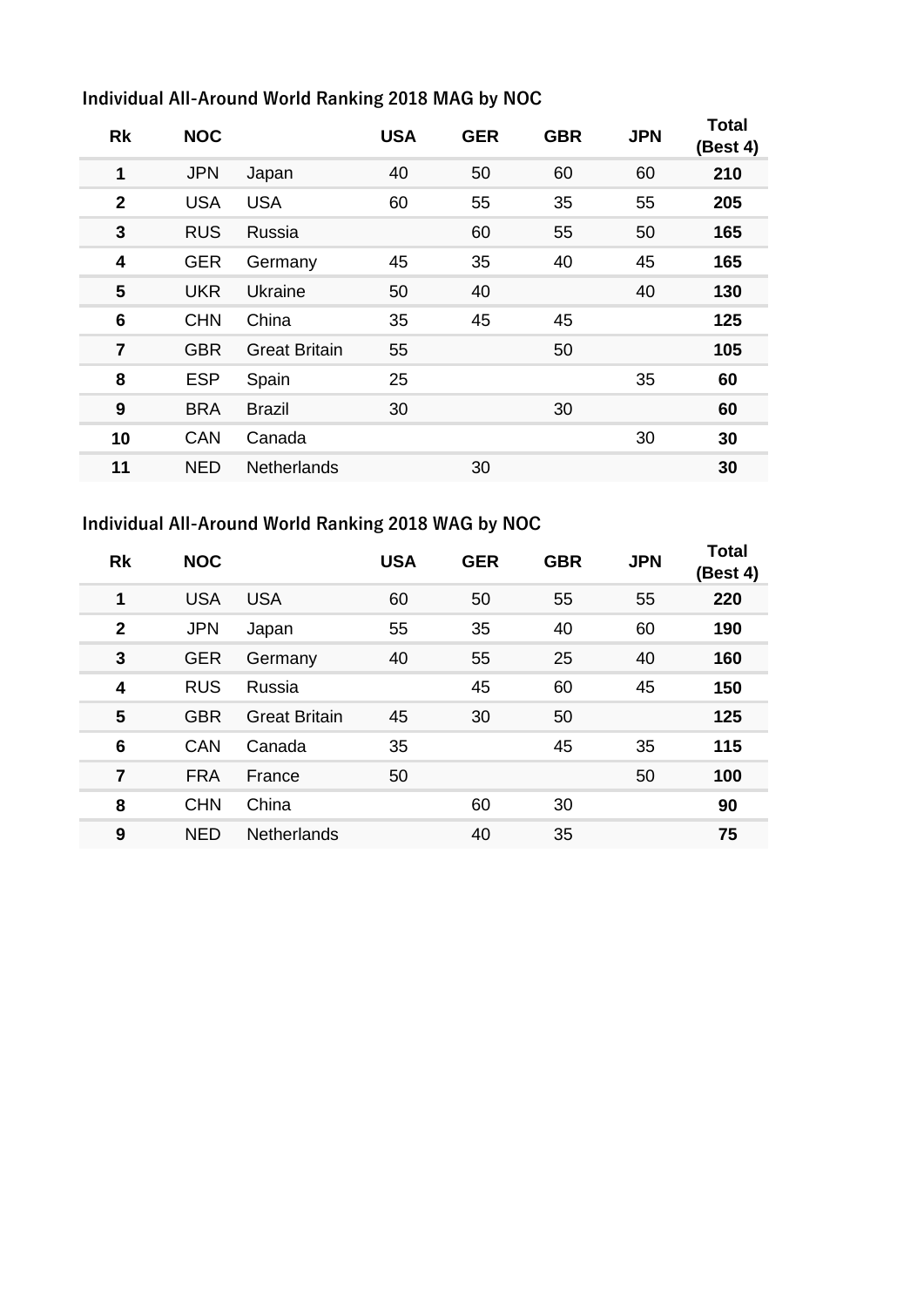## **Individual All-Around World Ranking 2018 MAG by NOC**

| <b>Rk</b>      | <b>NOC</b> |                      | <b>USA</b> | <b>GER</b> | <b>GBR</b> | <b>JPN</b> | Total<br>(Best 4) |
|----------------|------------|----------------------|------------|------------|------------|------------|-------------------|
| 1              | <b>JPN</b> | Japan                | 40         | 50         | 60         | 60         | 210               |
| $\overline{2}$ | <b>USA</b> | <b>USA</b>           | 60         | 55         | 35         | 55         | 205               |
| 3              | <b>RUS</b> | Russia               |            | 60         | 55         | 50         | 165               |
| 4              | <b>GER</b> | Germany              | 45         | 35         | 40         | 45         | 165               |
| 5              | <b>UKR</b> | Ukraine              | 50         | 40         |            | 40         | 130               |
| 6              | <b>CHN</b> | China                | 35         | 45         | 45         |            | 125               |
| $\overline{7}$ | <b>GBR</b> | <b>Great Britain</b> | 55         |            | 50         |            | 105               |
| 8              | <b>ESP</b> | Spain                | 25         |            |            | 35         | 60                |
| 9              | <b>BRA</b> | <b>Brazil</b>        | 30         |            | 30         |            | 60                |
| 10             | <b>CAN</b> | Canada               |            |            |            | 30         | 30                |
| 11             | <b>NED</b> | <b>Netherlands</b>   |            | 30         |            |            | 30                |

## **Individual All-Around World Ranking 2018 WAG by NOC**

| <b>Rk</b>      | <b>NOC</b> |                      | <b>USA</b> | <b>GER</b> | <b>GBR</b> | <b>JPN</b> | <b>Total</b><br>(Best 4) |
|----------------|------------|----------------------|------------|------------|------------|------------|--------------------------|
| 1              | <b>USA</b> | <b>USA</b>           | 60         | 50         | 55         | 55         | 220                      |
| $\mathbf{2}$   | <b>JPN</b> | Japan                | 55         | 35         | 40         | 60         | 190                      |
| 3              | <b>GER</b> | Germany              | 40         | 55         | 25         | 40         | 160                      |
| 4              | <b>RUS</b> | Russia               |            | 45         | 60         | 45         | 150                      |
| 5              | <b>GBR</b> | <b>Great Britain</b> | 45         | 30         | 50         |            | 125                      |
| 6              | <b>CAN</b> | Canada               | 35         |            | 45         | 35         | 115                      |
| $\overline{7}$ | <b>FRA</b> | France               | 50         |            |            | 50         | 100                      |
| 8              | <b>CHN</b> | China                |            | 60         | 30         |            | 90                       |
| 9              | <b>NED</b> | <b>Netherlands</b>   |            | 40         | 35         |            | 75                       |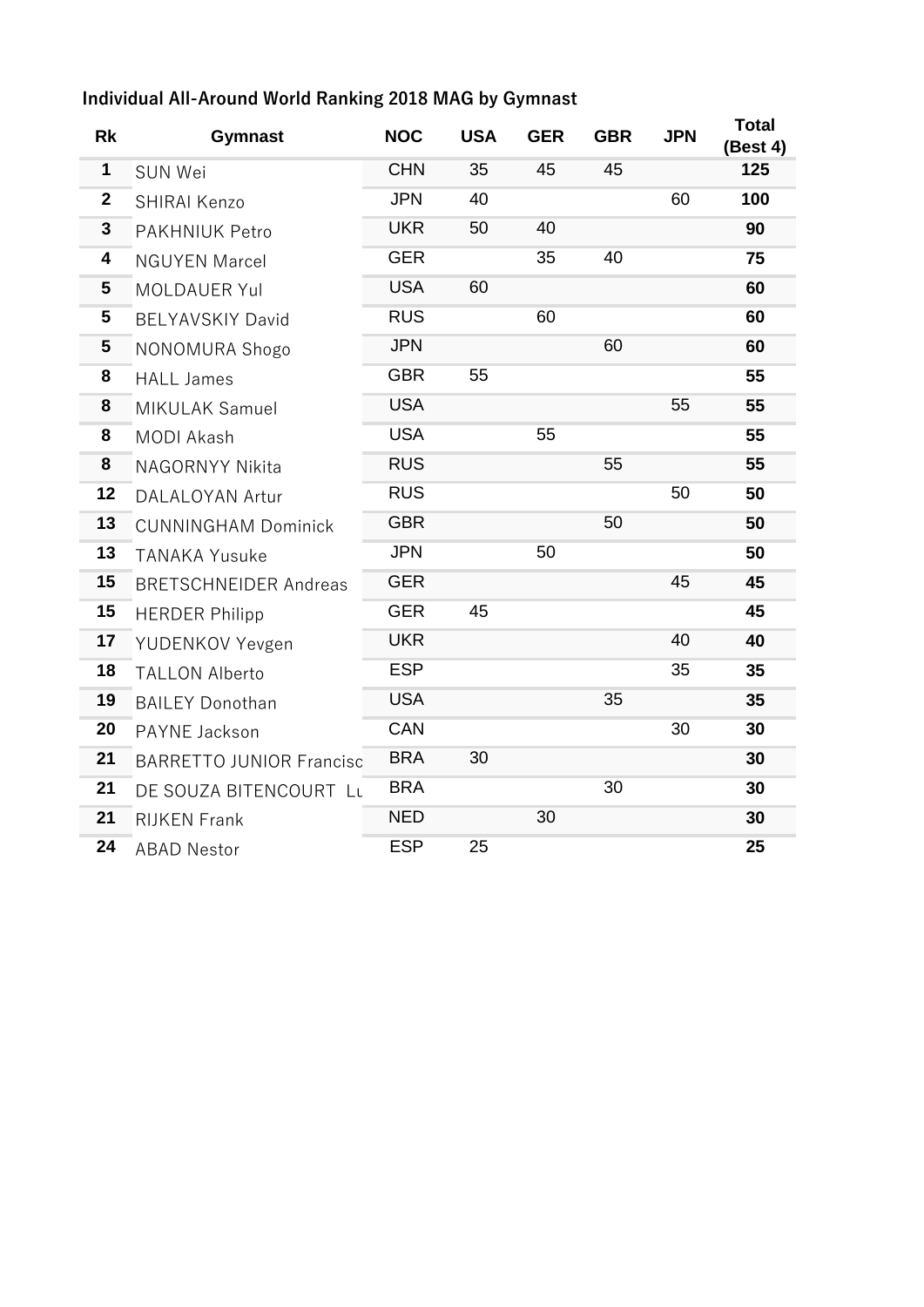## **Individual All-Around World Ranking 2018 MAG by Gymnast**

| <b>Rk</b>      | <b>Gymnast</b>                  | <b>NOC</b> | <b>USA</b> | <b>GER</b> | <b>GBR</b> | <b>JPN</b> | Total<br>(Best 4) |
|----------------|---------------------------------|------------|------------|------------|------------|------------|-------------------|
| $\mathbf 1$    | <b>SUN Wei</b>                  | <b>CHN</b> | 35         | 45         | 45         |            | 125               |
| $\overline{2}$ | SHIRAI Kenzo                    | <b>JPN</b> | 40         |            |            | 60         | 100               |
| $\mathbf{3}$   | <b>PAKHNIUK Petro</b>           | <b>UKR</b> | 50         | 40         |            |            | 90                |
| 4              | <b>NGUYEN Marcel</b>            | <b>GER</b> |            | 35         | 40         |            | 75                |
| 5              | <b>MOLDAUER Yul</b>             | <b>USA</b> | 60         |            |            |            | 60                |
| 5              | <b>BELYAVSKIY David</b>         | <b>RUS</b> |            | 60         |            |            | 60                |
| 5              | NONOMURA Shogo                  | <b>JPN</b> |            |            | 60         |            | 60                |
| 8              | <b>HALL James</b>               | <b>GBR</b> | 55         |            |            |            | 55                |
| 8              | MIKULAK Samuel                  | <b>USA</b> |            |            |            | 55         | 55                |
| 8              | <b>MODI Akash</b>               | <b>USA</b> |            | 55         |            |            | 55                |
| 8              | <b>NAGORNYY Nikita</b>          | <b>RUS</b> |            |            | 55         |            | 55                |
| 12             | <b>DALALOYAN Artur</b>          | <b>RUS</b> |            |            |            | 50         | 50                |
| 13             | <b>CUNNINGHAM Dominick</b>      | <b>GBR</b> |            |            | 50         |            | 50                |
| 13             | <b>TANAKA Yusuke</b>            | <b>JPN</b> |            | 50         |            |            | 50                |
| 15             | <b>BRETSCHNEIDER Andreas</b>    | <b>GER</b> |            |            |            | 45         | 45                |
| 15             | <b>HERDER Philipp</b>           | <b>GER</b> | 45         |            |            |            | 45                |
| 17             | YUDENKOV Yevgen                 | <b>UKR</b> |            |            |            | 40         | 40                |
| 18             | <b>TALLON Alberto</b>           | <b>ESP</b> |            |            |            | 35         | 35                |
| 19             | <b>BAILEY Donothan</b>          | <b>USA</b> |            |            | 35         |            | 35                |
| 20             | PAYNE Jackson                   | <b>CAN</b> |            |            |            | 30         | 30                |
| 21             | <b>BARRETTO JUNIOR Francisc</b> | <b>BRA</b> | 30         |            |            |            | 30                |
| 21             | DE SOUZA BITENCOURT Lu          | <b>BRA</b> |            |            | 30         |            | 30                |
| 21             | <b>RIJKEN Frank</b>             | <b>NED</b> |            | 30         |            |            | 30                |
| 24             | <b>ABAD Nestor</b>              | <b>ESP</b> | 25         |            |            |            | 25                |